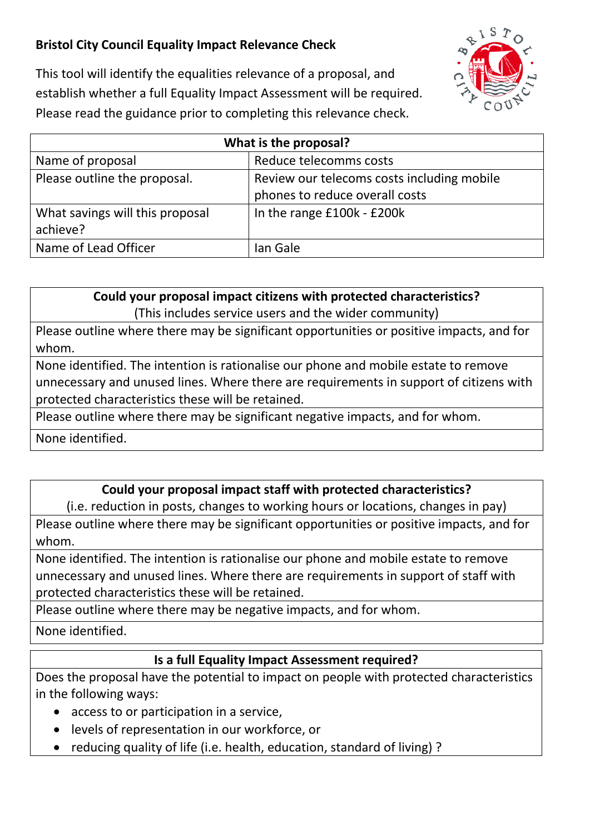## **Bristol City Council Equality Impact Relevance Check**



This tool will identify the equalities relevance of a proposal, and establish whether a full Equality Impact Assessment will be required. Please read the guidance prior to completing this relevance check.

| What is the proposal?           |                                            |
|---------------------------------|--------------------------------------------|
| Name of proposal                | Reduce telecomms costs                     |
| Please outline the proposal.    | Review our telecoms costs including mobile |
|                                 | phones to reduce overall costs             |
| What savings will this proposal | In the range £100k - £200k                 |
| achieve?                        |                                            |
| Name of Lead Officer            | lan Gale                                   |

**Could your proposal impact citizens with protected characteristics?** (This includes service users and the wider community)

Please outline where there may be significant opportunities or positive impacts, and for whom.

None identified. The intention is rationalise our phone and mobile estate to remove unnecessary and unused lines. Where there are requirements in support of citizens with protected characteristics these will be retained.

Please outline where there may be significant negative impacts, and for whom.

None identified.

## **Could your proposal impact staff with protected characteristics?**

(i.e. reduction in posts, changes to working hours or locations, changes in pay)

Please outline where there may be significant opportunities or positive impacts, and for whom.

None identified. The intention is rationalise our phone and mobile estate to remove unnecessary and unused lines. Where there are requirements in support of staff with protected characteristics these will be retained.

Please outline where there may be negative impacts, and for whom.

None identified.

## **Is a full Equality Impact Assessment required?**

Does the proposal have the potential to impact on people with protected characteristics in the following ways:

- access to or participation in a service,
- levels of representation in our workforce, or
- reducing quality of life (i.e. health, education, standard of living) ?